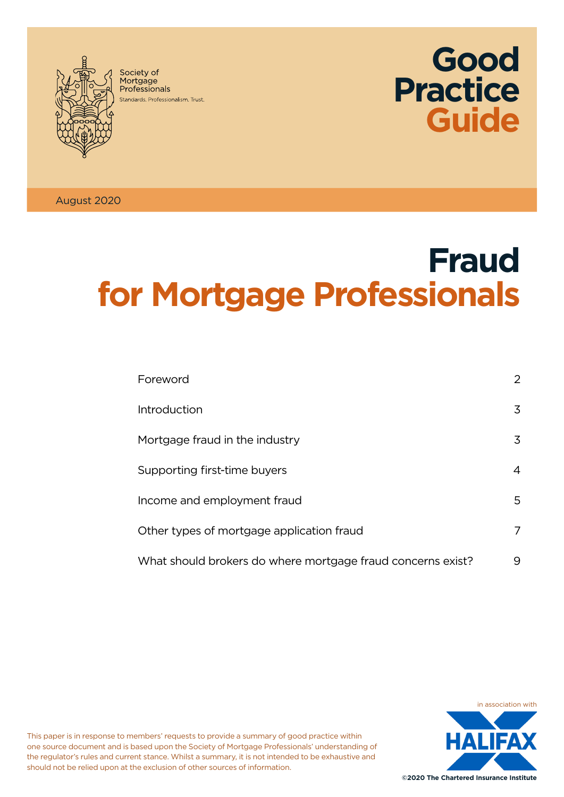

Society of Society of<br>Mortgage<br>Professionals Standards Professionalism Trust.



August 2020

# **Fraud for Mortgage Professionals**

| Foreword                                                    | $\overline{2}$ |
|-------------------------------------------------------------|----------------|
| Introduction                                                | 3              |
| Mortgage fraud in the industry                              | 3              |
| Supporting first-time buyers                                | 4              |
| Income and employment fraud                                 | 5              |
| Other types of mortgage application fraud                   | 7              |
| What should brokers do where mortgage fraud concerns exist? | 9              |



This paper is in response to members' requests to provide a summary of good practice within one source document and is based upon the Society of Mortgage Professionals' understanding of the regulator's rules and current stance. Whilst a summary, it is not intended to be exhaustive and should not be relied upon at the exclusion of other sources of information.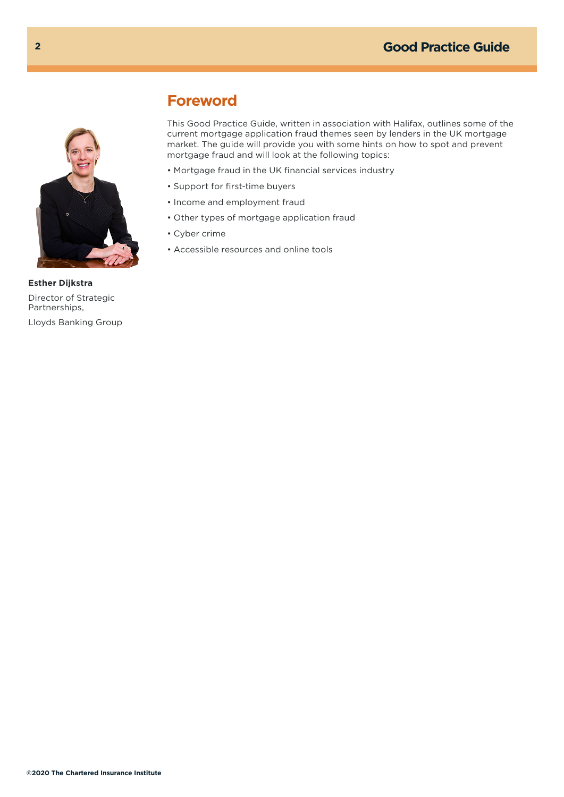<span id="page-1-0"></span>

## **Foreword**

This Good Practice Guide, written in association with Halifax, outlines some of the current mortgage application fraud themes seen by lenders in the UK mortgage market. The guide will provide you with some hints on how to spot and prevent mortgage fraud and will look at the following topics:

- Mortgage fraud in the UK financial services industry
- Support for first-time buyers
- Income and employment fraud
- Other types of mortgage application fraud
- Cyber crime
- Accessible resources and online tools

**Esther Dijkstra** Director of Strategic Partnerships, Lloyds Banking Group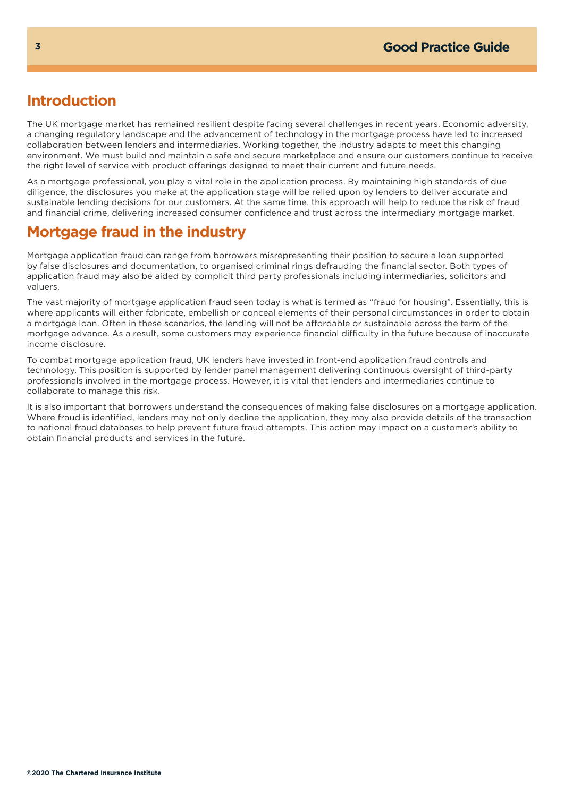## **Introduction**

The UK mortgage market has remained resilient despite facing several challenges in recent years. Economic adversity, a changing regulatory landscape and the advancement of technology in the mortgage process have led to increased collaboration between lenders and intermediaries. Working together, the industry adapts to meet this changing environment. We must build and maintain a safe and secure marketplace and ensure our customers continue to receive the right level of service with product offerings designed to meet their current and future needs.

As a mortgage professional, you play a vital role in the application process. By maintaining high standards of due diligence, the disclosures you make at the application stage will be relied upon by lenders to deliver accurate and sustainable lending decisions for our customers. At the same time, this approach will help to reduce the risk of fraud and financial crime, delivering increased consumer confidence and trust across the intermediary mortgage market.

# **Mortgage fraud in the industry**

Mortgage application fraud can range from borrowers misrepresenting their position to secure a loan supported by false disclosures and documentation, to organised criminal rings defrauding the financial sector. Both types of application fraud may also be aided by complicit third party professionals including intermediaries, solicitors and valuers.

The vast majority of mortgage application fraud seen today is what is termed as "fraud for housing". Essentially, this is where applicants will either fabricate, embellish or conceal elements of their personal circumstances in order to obtain a mortgage loan. Often in these scenarios, the lending will not be affordable or sustainable across the term of the mortgage advance. As a result, some customers may experience financial difficulty in the future because of inaccurate income disclosure.

To combat mortgage application fraud, UK lenders have invested in front-end application fraud controls and technology. This position is supported by lender panel management delivering continuous oversight of third-party professionals involved in the mortgage process. However, it is vital that lenders and intermediaries continue to collaborate to manage this risk.

It is also important that borrowers understand the consequences of making false disclosures on a mortgage application. Where fraud is identified, lenders may not only decline the application, they may also provide details of the transaction to national fraud databases to help prevent future fraud attempts. This action may impact on a customer's ability to obtain financial products and services in the future.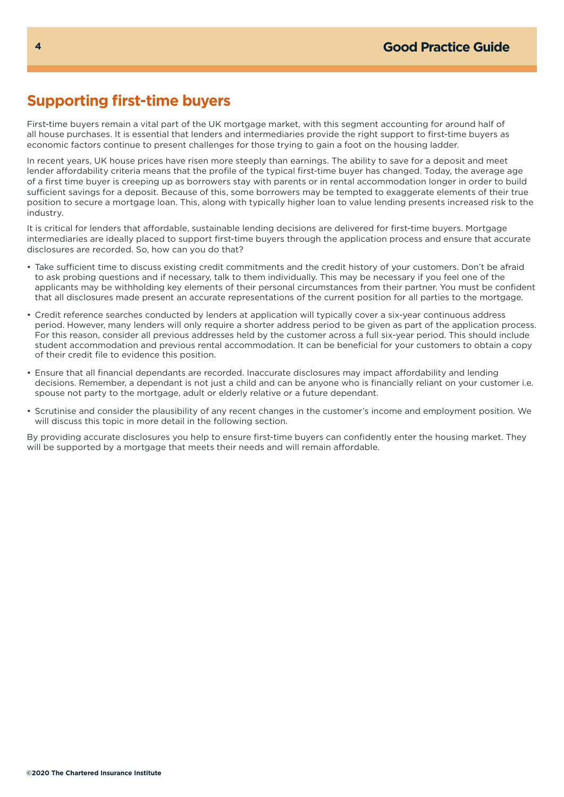## **Supporting first-time buyers**

First-time buyers remain a vital part of the UK mortgage market, with this segment accounting for around half of all house purchases. It is essential that lenders and intermediaries provide the right support to first-time buyers as economic factors continue to present challenges for those trying to gain a foot on the housing ladder.

In recent years, UK house prices have risen more steeply than earnings. The ability to save for a deposit and meet lender affordability criteria means that the profile of the typical first-time buyer has changed. Today, the average age of a first time buyer is creeping up as borrowers stay with parents or in rental accommodation longer in order to build sufficient savings for a deposit. Because of this, some borrowers may be tempted to exaggerate elements of their true position to secure a mortgage loan. This, along with typically higher loan to value lending presents increased risk to the industry.

It is critical for lenders that affordable, sustainable lending decisions are delivered for first-time buyers. Mortgage intermediaries are ideally placed to support first-time buyers through the application process and ensure that accurate disclosures are recorded. So, how can you do that?

- Take sufficient time to discuss existing credit commitments and the credit history of your customers. Don't be afraid to ask probing questions and if necessary, talk to them individually. This may be necessary if you feel one of the applicants may be withholding key elements of their personal circumstances from their partner. You must be confident that all disclosures made present an accurate representations of the current position for all parties to the mortgage.
- Credit reference searches conducted by lenders at application will typically cover a six-year continuous address period. However, many lenders will only require a shorter address period to be given as part of the application process. For this reason, consider all previous addresses held by the customer across a full six-year period. This should include student accommodation and previous rental accommodation. It can be beneficial for your customers to obtain a copy of their credit file to evidence this position.
- Ensure that all financial dependants are recorded. Inaccurate disclosures may impact affordability and lending decisions. Remember, a dependant is not just a child and can be anyone who is financially reliant on your customer i.e. spouse not party to the mortgage, adult or elderly relative or a future dependant.
- Scrutinise and consider the plausibility of any recent changes in the customer's income and employment position. We will discuss this topic in more detail in the following section.

By providing accurate disclosures you help to ensure first-time buyers can confidently enter the housing market. They will be supported by a mortgage that meets their needs and will remain affordable.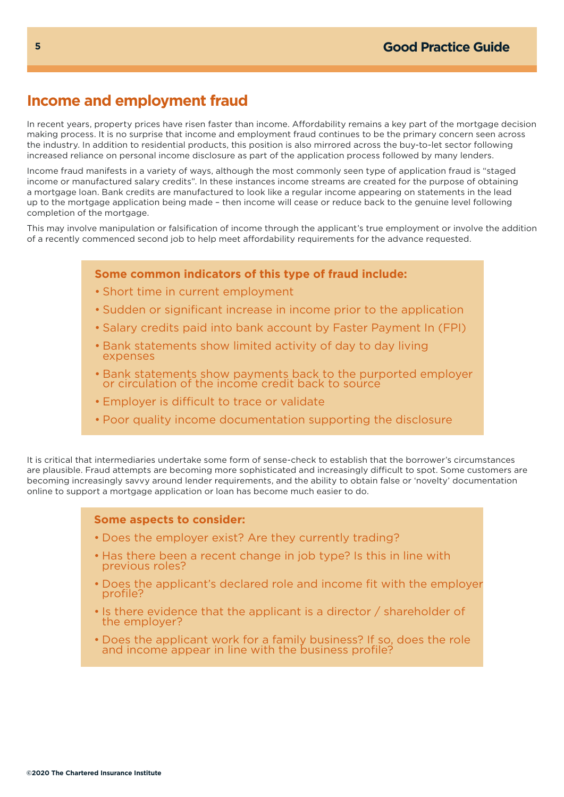## **Income and employment fraud**

In recent years, property prices have risen faster than income. Affordability remains a key part of the mortgage decision making process. It is no surprise that income and employment fraud continues to be the primary concern seen across the industry. In addition to residential products, this position is also mirrored across the buy-to-let sector following increased reliance on personal income disclosure as part of the application process followed by many lenders.

Income fraud manifests in a variety of ways, although the most commonly seen type of application fraud is "staged income or manufactured salary credits". In these instances income streams are created for the purpose of obtaining a mortgage loan. Bank credits are manufactured to look like a regular income appearing on statements in the lead up to the mortgage application being made – then income will cease or reduce back to the genuine level following completion of the mortgage.

This may involve manipulation or falsification of income through the applicant's true employment or involve the addition of a recently commenced second job to help meet affordability requirements for the advance requested.

#### **Some common indicators of this type of fraud include:**

- Short time in current employment
- Sudden or significant increase in income prior to the application
- Salary credits paid into bank account by Faster Payment In (FPI)
- Bank statements show limited activity of day to day living expenses
- Bank statements show payments back to the purported employer or circulation of the income credit back to source
- Employer is difficult to trace or validate
- Poor quality income documentation supporting the disclosure

It is critical that intermediaries undertake some form of sense-check to establish that the borrower's circumstances are plausible. Fraud attempts are becoming more sophisticated and increasingly difficult to spot. Some customers are becoming increasingly savvy around lender requirements, and the ability to obtain false or 'novelty' documentation online to support a mortgage application or loan has become much easier to do.

#### **Some aspects to consider:**

- Does the employer exist? Are they currently trading?
- Has there been a recent change in job type? Is this in line with previous roles?
- Does the applicant's declared role and income fit with the employer profile?
- Is there evidence that the applicant is a director / shareholder of the employer?
- Does the applicant work for a family business? If so, does the role and income appear in line with the business profile?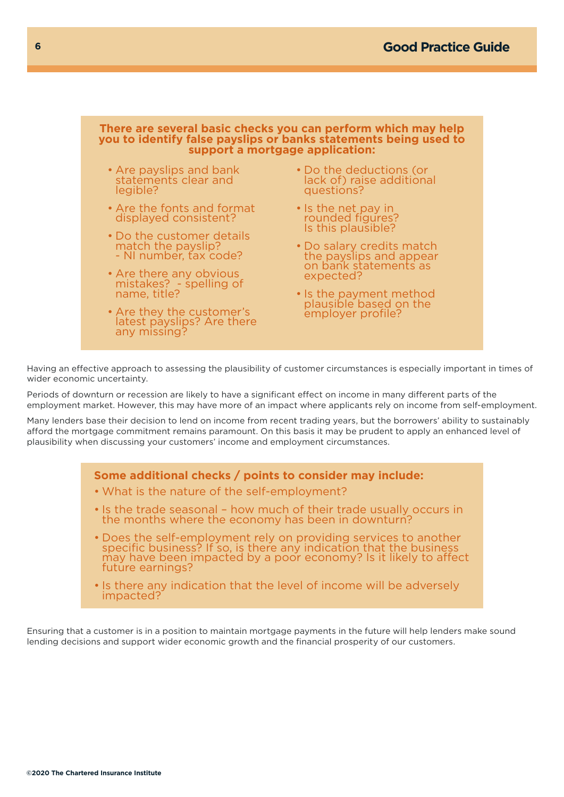

Having an effective approach to assessing the plausibility of customer circumstances is especially important in times of wider economic uncertainty.

Periods of downturn or recession are likely to have a significant effect on income in many different parts of the employment market. However, this may have more of an impact where applicants rely on income from self-employment.

Many lenders base their decision to lend on income from recent trading years, but the borrowers' ability to sustainably afford the mortgage commitment remains paramount. On this basis it may be prudent to apply an enhanced level of plausibility when discussing your customers' income and employment circumstances.

## **Some additional checks / points to consider may include:**  • What is the nature of the self-employment? • Is the trade seasonal – how much of their trade usually occurs in the months where the economy has been in downturn? • Does the self-employment rely on providing services to another specific business? If so, is there any indication that the business may have been impacted by a poor economy? Is it likely to affect

- future earnings? • Is there any indication that the level of income will be adversely
- impacted?

Ensuring that a customer is in a position to maintain mortgage payments in the future will help lenders make sound lending decisions and support wider economic growth and the financial prosperity of our customers.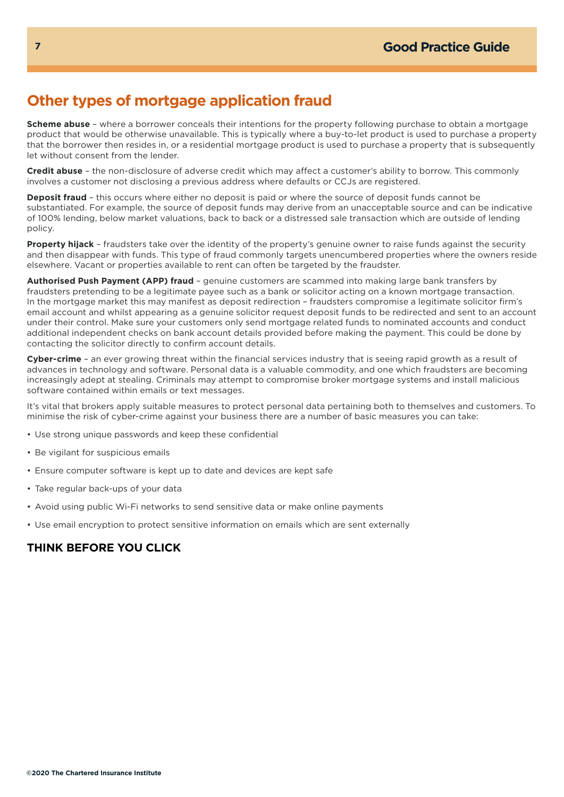## **Other types of mortgage application fraud**

**Scheme abuse** – where a borrower conceals their intentions for the property following purchase to obtain a mortgage product that would be otherwise unavailable. This is typically where a buy-to-let product is used to purchase a property that the borrower then resides in, or a residential mortgage product is used to purchase a property that is subsequently let without consent from the lender.

**Credit abuse** – the non-disclosure of adverse credit which may affect a customer's ability to borrow. This commonly involves a customer not disclosing a previous address where defaults or CCJs are registered.

**Deposit fraud** – this occurs where either no deposit is paid or where the source of deposit funds cannot be substantiated. For example, the source of deposit funds may derive from an unacceptable source and can be indicative of 100% lending, below market valuations, back to back or a distressed sale transaction which are outside of lending policy.

**Property hijack** – fraudsters take over the identity of the property's genuine owner to raise funds against the security and then disappear with funds. This type of fraud commonly targets unencumbered properties where the owners reside elsewhere. Vacant or properties available to rent can often be targeted by the fraudster.

**Authorised Push Payment (APP) fraud** – genuine customers are scammed into making large bank transfers by fraudsters pretending to be a legitimate payee such as a bank or solicitor acting on a known mortgage transaction. In the mortgage market this may manifest as deposit redirection – fraudsters compromise a legitimate solicitor firm's email account and whilst appearing as a genuine solicitor request deposit funds to be redirected and sent to an account under their control. Make sure your customers only send mortgage related funds to nominated accounts and conduct additional independent checks on bank account details provided before making the payment. This could be done by contacting the solicitor directly to confirm account details.

**Cyber-crime** – an ever growing threat within the financial services industry that is seeing rapid growth as a result of advances in technology and software. Personal data is a valuable commodity, and one which fraudsters are becoming increasingly adept at stealing. Criminals may attempt to compromise broker mortgage systems and install malicious software contained within emails or text messages.

It's vital that brokers apply suitable measures to protect personal data pertaining both to themselves and customers. To minimise the risk of cyber-crime against your business there are a number of basic measures you can take:

- Use strong unique passwords and keep these confidential
- Be vigilant for suspicious emails
- Ensure computer software is kept up to date and devices are kept safe
- Take regular back-ups of your data
- Avoid using public Wi-Fi networks to send sensitive data or make online payments
- Use email encryption to protect sensitive information on emails which are sent externally

### **THINK BEFORE YOU CLICK**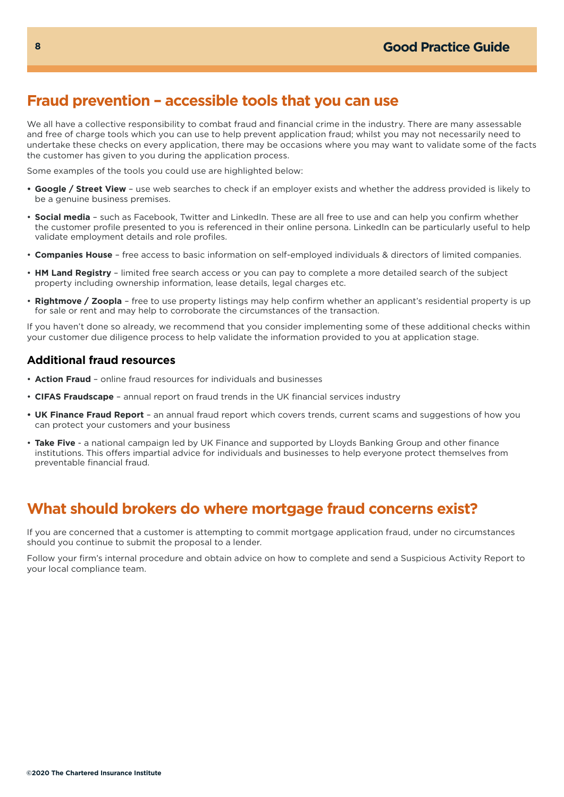## **Fraud prevention – accessible tools that you can use**

We all have a collective responsibility to combat fraud and financial crime in the industry. There are many assessable and free of charge tools which you can use to help prevent application fraud; whilst you may not necessarily need to undertake these checks on every application, there may be occasions where you may want to validate some of the facts the customer has given to you during the application process.

Some examples of the tools you could use are highlighted below:

- **• Google / Street View** use web searches to check if an employer exists and whether the address provided is likely to be a genuine business premises.
- **Social media** such as Facebook, Twitter and LinkedIn. These are all free to use and can help you confirm whether the customer profile presented to you is referenced in their online persona. LinkedIn can be particularly useful to help validate employment details and role profiles.
- **Companies House** free access to basic information on self-employed individuals & directors of limited companies.
- **HM Land Registry** limited free search access or you can pay to complete a more detailed search of the subject property including ownership information, lease details, legal charges etc.
- **Rightmove / Zoopla** free to use property listings may help confirm whether an applicant's residential property is up for sale or rent and may help to corroborate the circumstances of the transaction.

If you haven't done so already, we recommend that you consider implementing some of these additional checks within your customer due diligence process to help validate the information provided to you at application stage.

#### **Additional fraud resources**

- **Action Fraud** online fraud resources for individuals and businesses
- **CIFAS Fraudscape** annual report on fraud trends in the UK financial services industry
- **• UK Finance Fraud Report** an annual fraud report which covers trends, current scams and suggestions of how you can protect your customers and your business
- **Take Five**  a national campaign led by UK Finance and supported by Lloyds Banking Group and other finance institutions. This offers impartial advice for individuals and businesses to help everyone protect themselves from preventable financial fraud.

## **What should brokers do where mortgage fraud concerns exist?**

If you are concerned that a customer is attempting to commit mortgage application fraud, under no circumstances should you continue to submit the proposal to a lender.

Follow your firm's internal procedure and obtain advice on how to complete and send a Suspicious Activity Report to your local compliance team.